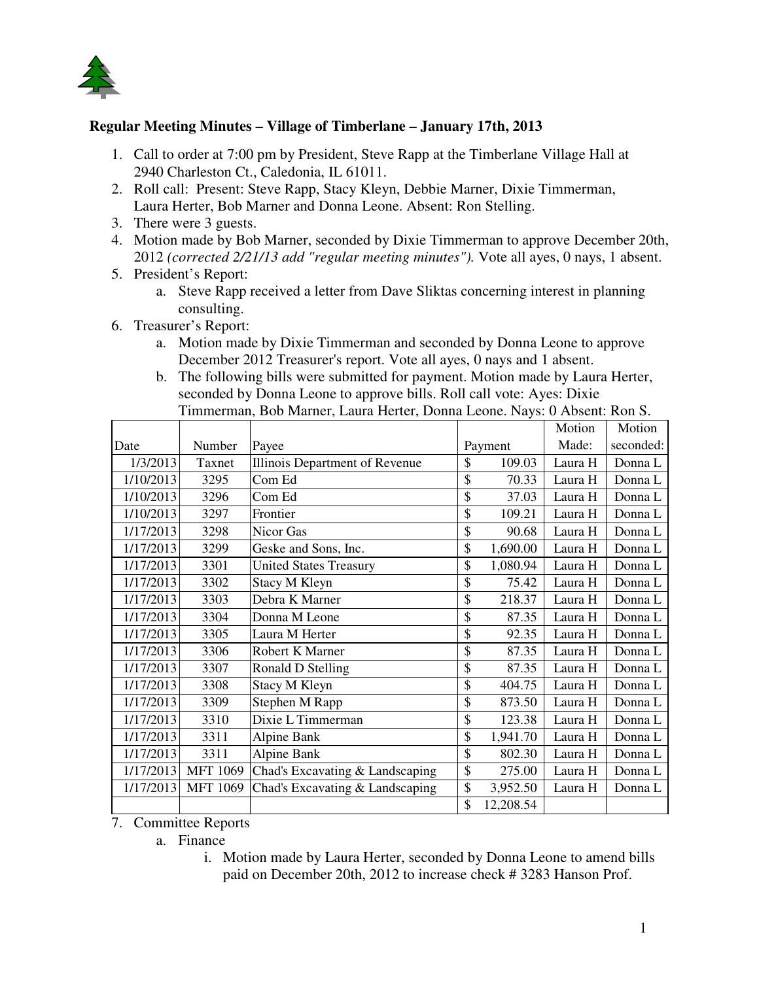

## **Regular Meeting Minutes – Village of Timberlane – January 17th, 2013**

- 1. Call to order at 7:00 pm by President, Steve Rapp at the Timberlane Village Hall at 2940 Charleston Ct., Caledonia, IL 61011.
- 2. Roll call: Present: Steve Rapp, Stacy Kleyn, Debbie Marner, Dixie Timmerman, Laura Herter, Bob Marner and Donna Leone. Absent: Ron Stelling.
- 3. There were 3 guests.
- 4. Motion made by Bob Marner, seconded by Dixie Timmerman to approve December 20th, 2012 *(corrected 2/21/13 add "regular meeting minutes").* Vote all ayes, 0 nays, 1 absent.
- 5. President's Report:
	- a. Steve Rapp received a letter from Dave Sliktas concerning interest in planning consulting.
- 6. Treasurer's Report:
	- a. Motion made by Dixie Timmerman and seconded by Donna Leone to approve December 2012 Treasurer's report. Vote all ayes, 0 nays and 1 absent.
	- b. The following bills were submitted for payment. Motion made by Laura Herter, seconded by Donna Leone to approve bills. Roll call vote: Ayes: Dixie Timmerman, Bob Marner, Laura Herter, Donna Leone. Nays: 0 Absent: Ron S.

|           |                 |                                 |              |           | Motion  | Motion    |
|-----------|-----------------|---------------------------------|--------------|-----------|---------|-----------|
| Date      | Number          | Payee                           |              | Payment   | Made:   | seconded: |
| 1/3/2013  | Taxnet          | Illinois Department of Revenue  | \$           | 109.03    | Laura H | Donna L   |
| 1/10/2013 | 3295            | Com Ed                          | \$           | 70.33     | Laura H | Donna L   |
| 1/10/2013 | 3296            | Com Ed                          | \$           | 37.03     | Laura H | Donna L   |
| 1/10/2013 | 3297            | Frontier                        | \$           | 109.21    | Laura H | Donna L   |
| 1/17/2013 | 3298            | Nicor Gas                       | \$           | 90.68     | Laura H | Donna L   |
| 1/17/2013 | 3299            | Geske and Sons, Inc.            | \$           | 1,690.00  | Laura H | Donna L   |
| 1/17/2013 | 3301            | <b>United States Treasury</b>   | \$           | 1,080.94  | Laura H | Donna L   |
| 1/17/2013 | 3302            | Stacy M Kleyn                   | \$           | 75.42     | Laura H | Donna L   |
| 1/17/2013 | 3303            | Debra K Marner                  | \$           | 218.37    | Laura H | Donna L   |
| 1/17/2013 | 3304            | Donna M Leone                   | \$           | 87.35     | Laura H | Donna L   |
| 1/17/2013 | 3305            | Laura M Herter                  | \$           | 92.35     | Laura H | Donna L   |
| 1/17/2013 | 3306            | Robert K Marner                 | \$           | 87.35     | Laura H | Donna L   |
| 1/17/2013 | 3307            | Ronald D Stelling               | \$           | 87.35     | Laura H | Donna L   |
| 1/17/2013 | 3308            | Stacy M Kleyn                   | \$           | 404.75    | Laura H | Donna L   |
| 1/17/2013 | 3309            | Stephen M Rapp                  | \$           | 873.50    | Laura H | Donna L   |
| 1/17/2013 | 3310            | Dixie L Timmerman               | \$           | 123.38    | Laura H | Donna L   |
| 1/17/2013 | 3311            | Alpine Bank                     | \$           | 1,941.70  | Laura H | Donna L   |
| 1/17/2013 | 3311            | Alpine Bank                     | \$           | 802.30    | Laura H | Donna L   |
| 1/17/2013 | <b>MFT 1069</b> | Chad's Excavating & Landscaping | \$           | 275.00    | Laura H | Donna L   |
| 1/17/2013 | <b>MFT 1069</b> | Chad's Excavating & Landscaping | \$           | 3,952.50  | Laura H | Donna L   |
|           |                 |                                 | $\mathbb{S}$ | 12,208.54 |         |           |

7. Committee Reports

- a. Finance
	- i. Motion made by Laura Herter, seconded by Donna Leone to amend bills paid on December 20th, 2012 to increase check # 3283 Hanson Prof.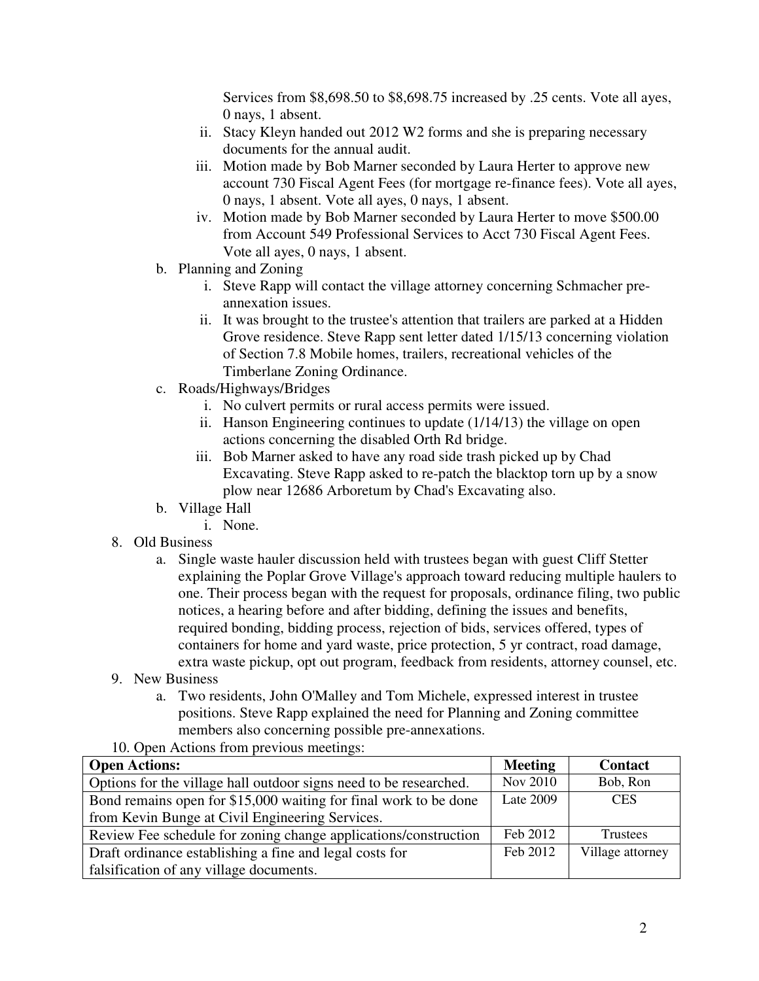Services from \$8,698.50 to \$8,698.75 increased by .25 cents. Vote all ayes, 0 nays, 1 absent.

- ii. Stacy Kleyn handed out 2012 W2 forms and she is preparing necessary documents for the annual audit.
- iii. Motion made by Bob Marner seconded by Laura Herter to approve new account 730 Fiscal Agent Fees (for mortgage re-finance fees). Vote all ayes, 0 nays, 1 absent. Vote all ayes, 0 nays, 1 absent.
- iv. Motion made by Bob Marner seconded by Laura Herter to move \$500.00 from Account 549 Professional Services to Acct 730 Fiscal Agent Fees. Vote all ayes, 0 nays, 1 absent.
- b. Planning and Zoning
	- i. Steve Rapp will contact the village attorney concerning Schmacher preannexation issues.
	- ii. It was brought to the trustee's attention that trailers are parked at a Hidden Grove residence. Steve Rapp sent letter dated 1/15/13 concerning violation of Section 7.8 Mobile homes, trailers, recreational vehicles of the Timberlane Zoning Ordinance.
- c. Roads/Highways/Bridges
	- i. No culvert permits or rural access permits were issued.
	- ii. Hanson Engineering continues to update (1/14/13) the village on open actions concerning the disabled Orth Rd bridge.
	- iii. Bob Marner asked to have any road side trash picked up by Chad Excavating. Steve Rapp asked to re-patch the blacktop torn up by a snow plow near 12686 Arboretum by Chad's Excavating also.
- b. Village Hall
	- i. None.
- 8. Old Business
	- a. Single waste hauler discussion held with trustees began with guest Cliff Stetter explaining the Poplar Grove Village's approach toward reducing multiple haulers to one. Their process began with the request for proposals, ordinance filing, two public notices, a hearing before and after bidding, defining the issues and benefits, required bonding, bidding process, rejection of bids, services offered, types of containers for home and yard waste, price protection, 5 yr contract, road damage, extra waste pickup, opt out program, feedback from residents, attorney counsel, etc.
- 9. New Business
	- a. Two residents, John O'Malley and Tom Michele, expressed interest in trustee positions. Steve Rapp explained the need for Planning and Zoning committee members also concerning possible pre-annexations.

## 10. Open Actions from previous meetings:

| <b>Open Actions:</b>                                              | <b>Meeting</b>  | <b>Contact</b>   |
|-------------------------------------------------------------------|-----------------|------------------|
| Options for the village hall outdoor signs need to be researched. | <b>Nov 2010</b> | Bob, Ron         |
| Bond remains open for \$15,000 waiting for final work to be done  | Late 2009       | <b>CES</b>       |
| from Kevin Bunge at Civil Engineering Services.                   |                 |                  |
| Review Fee schedule for zoning change applications/construction   | Feb 2012        | Trustees         |
| Draft ordinance establishing a fine and legal costs for           | Feb 2012        | Village attorney |
| falsification of any village documents.                           |                 |                  |